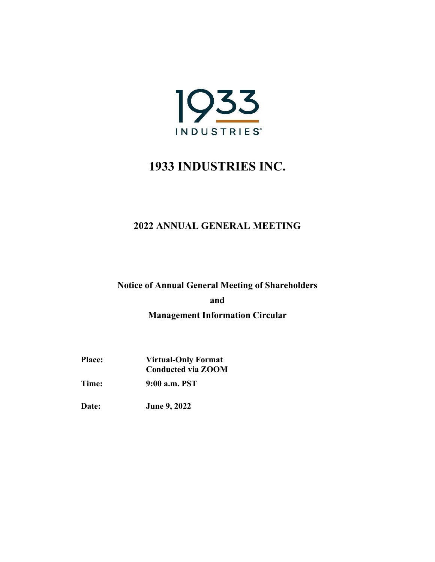

## **2022 ANNUAL GENERAL MEETING**

**Notice of Annual General Meeting of Shareholders** 

**and Management Information Circular** 

**Place: Virtual-Only Format Conducted via ZOOM** 

**Time: 9:00 a.m. PST** 

**Date: June 9, 2022**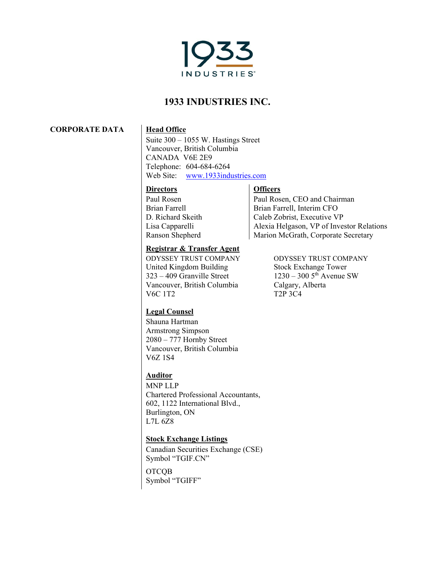

**CORPORATE DATA Head Office** 

Suite 300 – 1055 W. Hastings Street Vancouver, British Columbia CANADA V6E 2E9 Telephone: 604-684-6264 Web Site: www.1933industries.com

### **Directors**

Paul Rosen Brian Farrell D. Richard Skeith Lisa Capparelli Ranson Shepherd

### **Registrar & Transfer Agent**

ODYSSEY TRUST COMPANY ODYSSEY TRUST COMPANY United Kingdom Building Stock Exchange Tower  $323 - 409$  Granville Street  $1230 - 300$  5<sup>th</sup> Avenue SW Vancouver, British Columbia Calgary, Alberta<br>V6C 1T2 72P 3C4

### **Officers**

Paul Rosen, CEO and Chairman Brian Farrell, Interim CFO Caleb Zobrist, Executive VP Alexia Helgason, VP of Investor Relations Marion McGrath, Corporate Secretary

 $T2P$  3C4

### **Legal Counsel**

Shauna Hartman Armstrong Simpson 2080 – 777 Hornby Street Vancouver, British Columbia V6Z 1S4

### **Auditor**

MNP LLP Chartered Professional Accountants, 602, 1122 International Blvd., Burlington, ON L7L 6Z8

### **Stock Exchange Listings**

Canadian Securities Exchange (CSE) Symbol "TGIF.CN"

**OTCOB** Symbol "TGIFF"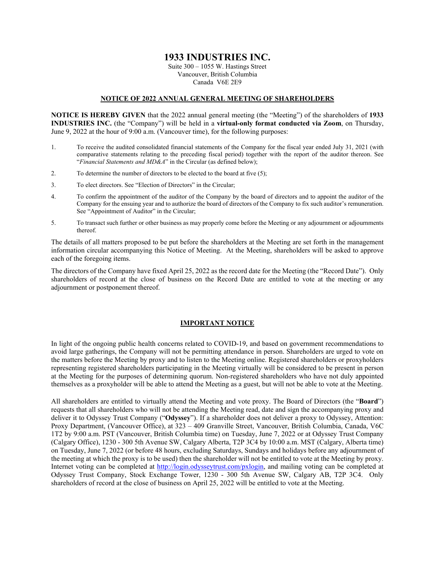Suite 300 – 1055 W. Hastings Street Vancouver, British Columbia Canada V6E 2E9

#### **NOTICE OF 2022 ANNUAL GENERAL MEETING OF SHAREHOLDERS**

**NOTICE IS HEREBY GIVEN** that the 2022 annual general meeting (the "Meeting") of the shareholders of **1933 INDUSTRIES INC.** (the "Company") will be held in a **virtual-only format conducted via Zoom**, on Thursday, June 9, 2022 at the hour of 9:00 a.m. (Vancouver time), for the following purposes:

- 1. To receive the audited consolidated financial statements of the Company for the fiscal year ended July 31, 2021 (with comparative statements relating to the preceding fiscal period) together with the report of the auditor thereon. See "*Financial Statements and MD&A*" in the Circular (as defined below);
- 2. To determine the number of directors to be elected to the board at five (5);
- 3. To elect directors. See "Election of Directors" in the Circular;
- 4. To confirm the appointment of the auditor of the Company by the board of directors and to appoint the auditor of the Company for the ensuing year and to authorize the board of directors of the Company to fix such auditor's remuneration. See "Appointment of Auditor" in the Circular;
- 5. To transact such further or other business as may properly come before the Meeting or any adjournment or adjournments thereof.

The details of all matters proposed to be put before the shareholders at the Meeting are set forth in the management information circular accompanying this Notice of Meeting. At the Meeting, shareholders will be asked to approve each of the foregoing items.

The directors of the Company have fixed April 25, 2022 as the record date for the Meeting (the "Record Date"). Only shareholders of record at the close of business on the Record Date are entitled to vote at the meeting or any adjournment or postponement thereof.

#### **IMPORTANT NOTICE**

In light of the ongoing public health concerns related to COVID-19, and based on government recommendations to avoid large gatherings, the Company will not be permitting attendance in person. Shareholders are urged to vote on the matters before the Meeting by proxy and to listen to the Meeting online. Registered shareholders or proxyholders representing registered shareholders participating in the Meeting virtually will be considered to be present in person at the Meeting for the purposes of determining quorum. Non-registered shareholders who have not duly appointed themselves as a proxyholder will be able to attend the Meeting as a guest, but will not be able to vote at the Meeting.

All shareholders are entitled to virtually attend the Meeting and vote proxy. The Board of Directors (the "**Board**") requests that all shareholders who will not be attending the Meeting read, date and sign the accompanying proxy and deliver it to Odyssey Trust Company ("**Odyssey**"). If a shareholder does not deliver a proxy to Odyssey, Attention: Proxy Department, (Vancouver Office), at 323 – 409 Granville Street, Vancouver, British Columbia, Canada, V6C 1T2 by 9:00 a.m. PST (Vancouver, British Columbia time) on Tuesday, June 7, 2022 or at Odyssey Trust Company (Calgary Office), 1230 - 300 5th Avenue SW, Calgary Alberta, T2P 3C4 by 10:00 a.m. MST (Calgary, Alberta time) on Tuesday, June 7, 2022 (or before 48 hours, excluding Saturdays, Sundays and holidays before any adjournment of the meeting at which the proxy is to be used) then the shareholder will not be entitled to vote at the Meeting by proxy. Internet voting can be completed at http://login.odysseytrust.com/pxlogin, and mailing voting can be completed at Odyssey Trust Company, Stock Exchange Tower, 1230 - 300 5th Avenue SW, Calgary AB, T2P 3C4. Only shareholders of record at the close of business on April 25, 2022 will be entitled to vote at the Meeting.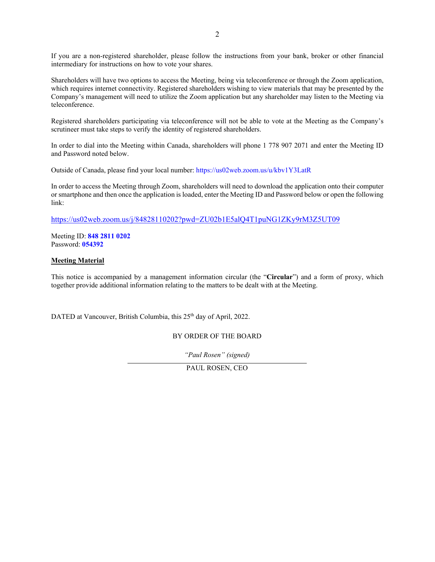If you are a non-registered shareholder, please follow the instructions from your bank, broker or other financial intermediary for instructions on how to vote your shares.

Shareholders will have two options to access the Meeting, being via teleconference or through the Zoom application, which requires internet connectivity. Registered shareholders wishing to view materials that may be presented by the Company's management will need to utilize the Zoom application but any shareholder may listen to the Meeting via teleconference.

Registered shareholders participating via teleconference will not be able to vote at the Meeting as the Company's scrutineer must take steps to verify the identity of registered shareholders.

In order to dial into the Meeting within Canada, shareholders will phone 1 778 907 2071 and enter the Meeting ID and Password noted below.

Outside of Canada, please find your local number: https://us02web.zoom.us/u/kbv1Y3LatR

In order to access the Meeting through Zoom, shareholders will need to download the application onto their computer or smartphone and then once the application is loaded, enter the Meeting ID and Password below or open the following link:

https://us02web.zoom.us/j/84828110202?pwd=ZU02b1E5alQ4T1puNG1ZKy9rM3Z5UT09

Meeting ID: **848 2811 0202** Password: **054392**

#### **Meeting Material**

This notice is accompanied by a management information circular (the "**Circular**") and a form of proxy, which together provide additional information relating to the matters to be dealt with at the Meeting.

DATED at Vancouver, British Columbia, this 25<sup>th</sup> day of April, 2022.

BY ORDER OF THE BOARD

*"Paul Rosen" (signed)* 

PAUL ROSEN, CEO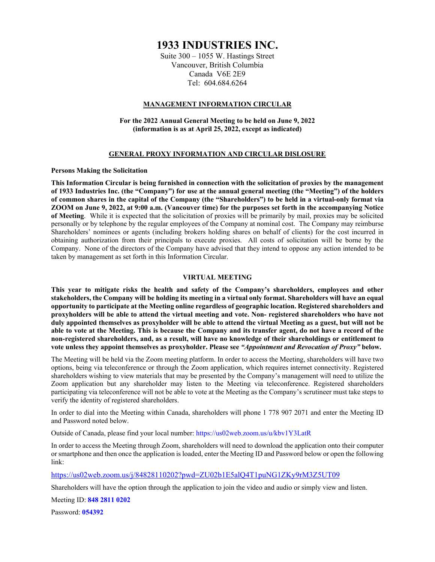Suite 300 – 1055 W. Hastings Street Vancouver, British Columbia Canada V6E 2E9 Tel: 604.684.6264

#### **MANAGEMENT INFORMATION CIRCULAR**

**For the 2022 Annual General Meeting to be held on June 9, 2022 (information is as at April 25, 2022, except as indicated)** 

#### **GENERAL PROXY INFORMATION AND CIRCULAR DISLOSURE**

#### **Persons Making the Solicitation**

**This Information Circular is being furnished in connection with the solicitation of proxies by the management of 1933 Industries Inc. (the "Company") for use at the annual general meeting (the "Meeting") of the holders of common shares in the capital of the Company (the "Shareholders") to be held in a virtual-only format via ZOOM on June 9, 2022, at 9:00 a.m. (Vancouver time) for the purposes set forth in the accompanying Notice of Meeting**. While it is expected that the solicitation of proxies will be primarily by mail, proxies may be solicited personally or by telephone by the regular employees of the Company at nominal cost. The Company may reimburse Shareholders' nominees or agents (including brokers holding shares on behalf of clients) for the cost incurred in obtaining authorization from their principals to execute proxies. All costs of solicitation will be borne by the Company. None of the directors of the Company have advised that they intend to oppose any action intended to be taken by management as set forth in this Information Circular.

#### **VIRTUAL MEETING**

**This year to mitigate risks the health and safety of the Company's shareholders, employees and other stakeholders, the Company will be holding its meeting in a virtual only format. Shareholders will have an equal opportunity to participate at the Meeting online regardless of geographic location. Registered shareholders and proxyholders will be able to attend the virtual meeting and vote. Non- registered shareholders who have not duly appointed themselves as proxyholder will be able to attend the virtual Meeting as a guest, but will not be able to vote at the Meeting. This is because the Company and its transfer agent, do not have a record of the non-registered shareholders, and, as a result, will have no knowledge of their shareholdings or entitlement to vote unless they appoint themselves as proxyholder. Please see** *"Appointment and Revocation of Proxy"* **below.** 

The Meeting will be held via the Zoom meeting platform. In order to access the Meeting, shareholders will have two options, being via teleconference or through the Zoom application, which requires internet connectivity. Registered shareholders wishing to view materials that may be presented by the Company's management will need to utilize the Zoom application but any shareholder may listen to the Meeting via teleconference. Registered shareholders participating via teleconference will not be able to vote at the Meeting as the Company's scrutineer must take steps to verify the identity of registered shareholders.

In order to dial into the Meeting within Canada, shareholders will phone 1 778 907 2071 and enter the Meeting ID and Password noted below.

Outside of Canada, please find your local number: https://us02web.zoom.us/u/kbv1Y3LatR

In order to access the Meeting through Zoom, shareholders will need to download the application onto their computer or smartphone and then once the application is loaded, enter the Meeting ID and Password below or open the following link:

https://us02web.zoom.us/j/84828110202?pwd=ZU02b1E5alQ4T1puNG1ZKy9rM3Z5UT09

Shareholders will have the option through the application to join the video and audio or simply view and listen.

Meeting ID: **848 2811 0202**

Password: **054392**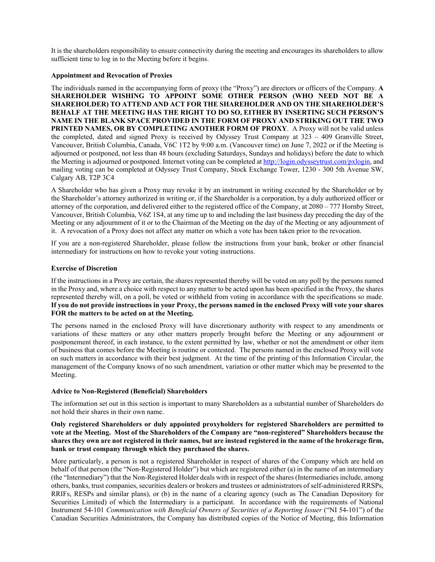It is the shareholders responsibility to ensure connectivity during the meeting and encourages its shareholders to allow sufficient time to log in to the Meeting before it begins.

#### **Appointment and Revocation of Proxies**

The individuals named in the accompanying form of proxy (the "Proxy") are directors or officers of the Company. **A SHAREHOLDER WISHING TO APPOINT SOME OTHER PERSON (WHO NEED NOT BE A SHAREHOLDER) TO ATTEND AND ACT FOR THE SHAREHOLDER AND ON THE SHAREHOLDER'S BEHALF AT THE MEETING HAS THE RIGHT TO DO SO, EITHER BY INSERTING SUCH PERSON'S NAME IN THE BLANK SPACE PROVIDED IN THE FORM OF PROXY AND STRIKING OUT THE TWO PRINTED NAMES, OR BY COMPLETING ANOTHER FORM OF PROXY**. A Proxy will not be valid unless the completed, dated and signed Proxy is received by Odyssey Trust Company at 323 – 409 Granville Street, Vancouver, British Columbia, Canada, V6C 1T2 by 9:00 a.m. (Vancouver time) on June 7, 2022 or if the Meeting is adjourned or postponed, not less than 48 hours (excluding Saturdays, Sundays and holidays) before the date to which the Meeting is adjourned or postponed. Internet voting can be completed at http://login.odysseytrust.com/pxlogin, and mailing voting can be completed at Odyssey Trust Company, Stock Exchange Tower, 1230 - 300 5th Avenue SW, Calgary AB, T2P 3C4

A Shareholder who has given a Proxy may revoke it by an instrument in writing executed by the Shareholder or by the Shareholder's attorney authorized in writing or, if the Shareholder is a corporation, by a duly authorized officer or attorney of the corporation, and delivered either to the registered office of the Company, at 2080 – 777 Hornby Street, Vancouver, British Columbia, V6Z 1S4, at any time up to and including the last business day preceding the day of the Meeting or any adjournment of it or to the Chairman of the Meeting on the day of the Meeting or any adjournment of it. A revocation of a Proxy does not affect any matter on which a vote has been taken prior to the revocation.

If you are a non-registered Shareholder, please follow the instructions from your bank, broker or other financial intermediary for instructions on how to revoke your voting instructions.

#### **Exercise of Discretion**

If the instructions in a Proxy are certain, the shares represented thereby will be voted on any poll by the persons named in the Proxy and, where a choice with respect to any matter to be acted upon has been specified in the Proxy, the shares represented thereby will, on a poll, be voted or withheld from voting in accordance with the specifications so made. **If you do not provide instructions in your Proxy, the persons named in the enclosed Proxy will vote your shares FOR the matters to be acted on at the Meeting.**

The persons named in the enclosed Proxy will have discretionary authority with respect to any amendments or variations of these matters or any other matters properly brought before the Meeting or any adjournment or postponement thereof, in each instance, to the extent permitted by law, whether or not the amendment or other item of business that comes before the Meeting is routine or contested. The persons named in the enclosed Proxy will vote on such matters in accordance with their best judgment. At the time of the printing of this Information Circular, the management of the Company knows of no such amendment, variation or other matter which may be presented to the Meeting.

#### **Advice to Non-Registered (Beneficial) Shareholders**

The information set out in this section is important to many Shareholders as a substantial number of Shareholders do not hold their shares in their own name.

#### **Only registered Shareholders or duly appointed proxyholders for registered Shareholders are permitted to vote at the Meeting. Most of the Shareholders of the Company are "non-registered" Shareholders because the shares they own are not registered in their names, but are instead registered in the name of the brokerage firm, bank or trust company through which they purchased the shares.**

More particularly, a person is not a registered Shareholder in respect of shares of the Company which are held on behalf of that person (the "Non-Registered Holder") but which are registered either (a) in the name of an intermediary (the "Intermediary") that the Non-Registered Holder deals with in respect of the shares (Intermediaries include, among others, banks, trust companies, securities dealers or brokers and trustees or administrators of self-administered RRSPs, RRIFs, RESPs and similar plans), or (b) in the name of a clearing agency (such as The Canadian Depository for Securities Limited) of which the Intermediary is a participant. In accordance with the requirements of National Instrument 54-101 *Communication with Beneficial Owners of Securities of a Reporting Issuer* ("NI 54-101") of the Canadian Securities Administrators, the Company has distributed copies of the Notice of Meeting, this Information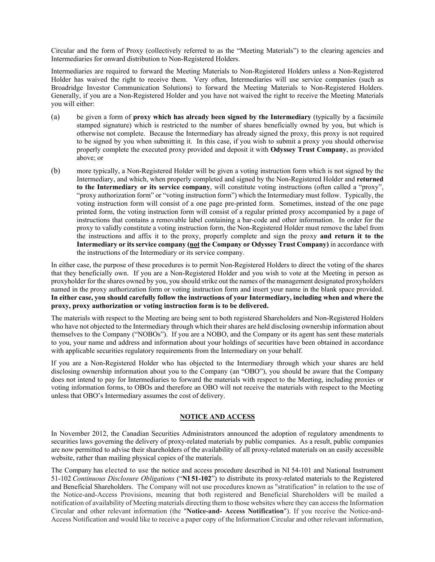Circular and the form of Proxy (collectively referred to as the "Meeting Materials") to the clearing agencies and Intermediaries for onward distribution to Non-Registered Holders.

Intermediaries are required to forward the Meeting Materials to Non-Registered Holders unless a Non-Registered Holder has waived the right to receive them. Very often, Intermediaries will use service companies (such as Broadridge Investor Communication Solutions) to forward the Meeting Materials to Non-Registered Holders. Generally, if you are a Non-Registered Holder and you have not waived the right to receive the Meeting Materials you will either:

- (a) be given a form of **proxy which has already been signed by the Intermediary** (typically by a facsimile stamped signature) which is restricted to the number of shares beneficially owned by you, but which is otherwise not complete. Because the Intermediary has already signed the proxy, this proxy is not required to be signed by you when submitting it. In this case, if you wish to submit a proxy you should otherwise properly complete the executed proxy provided and deposit it with **Odyssey Trust Company**, as provided above; or
- (b) more typically, a Non-Registered Holder will be given a voting instruction form which is not signed by the Intermediary, and which, when properly completed and signed by the Non-Registered Holder and **returned to the Intermediary or its service company**, will constitute voting instructions (often called a "proxy", "proxy authorization form" or "voting instruction form") which the Intermediary must follow. Typically, the voting instruction form will consist of a one page pre-printed form. Sometimes, instead of the one page printed form, the voting instruction form will consist of a regular printed proxy accompanied by a page of instructions that contains a removable label containing a bar-code and other information. In order for the proxy to validly constitute a voting instruction form, the Non-Registered Holder must remove the label from the instructions and affix it to the proxy, properly complete and sign the proxy **and return it to the**  Intermediary or its service company (not the Company or Odyssey Trust Company) in accordance with the instructions of the Intermediary or its service company.

In either case, the purpose of these procedures is to permit Non-Registered Holders to direct the voting of the shares that they beneficially own. If you are a Non-Registered Holder and you wish to vote at the Meeting in person as proxyholder for the shares owned by you, you should strike out the names of the management designated proxyholders named in the proxy authorization form or voting instruction form and insert your name in the blank space provided. **In either case, you should carefully follow the instructions of your Intermediary, including when and where the proxy, proxy authorization or voting instruction form is to be delivered.** 

The materials with respect to the Meeting are being sent to both registered Shareholders and Non-Registered Holders who have not objected to the Intermediary through which their shares are held disclosing ownership information about themselves to the Company ("NOBOs"). If you are a NOBO, and the Company or its agent has sent these materials to you, your name and address and information about your holdings of securities have been obtained in accordance with applicable securities regulatory requirements from the Intermediary on your behalf.

If you are a Non-Registered Holder who has objected to the Intermediary through which your shares are held disclosing ownership information about you to the Company (an "OBO"), you should be aware that the Company does not intend to pay for Intermediaries to forward the materials with respect to the Meeting, including proxies or voting information forms, to OBOs and therefore an OBO will not receive the materials with respect to the Meeting unless that OBO's Intermediary assumes the cost of delivery.

#### **NOTICE AND ACCESS**

In November 2012, the Canadian Securities Administrators announced the adoption of regulatory amendments to securities laws governing the delivery of proxy-related materials by public companies. As a result, public companies are now permitted to advise their shareholders of the availability of all proxy-related materials on an easily accessible website, rather than mailing physical copies of the materials.

The Company has elected to use the notice and access procedure described in NI 54-101 and National Instrument 51-102 *Continuous Disclosure Obligations* ("**NI 51-102**") to distribute its proxy-related materials to the Registered and Beneficial Shareholders. The Company will not use procedures known as "stratification" in relation to the use of the Notice-and-Access Provisions, meaning that both registered and Beneficial Shareholders will be mailed a notification of availability of Meeting materials directing them to those websites where they can access the Information Circular and other relevant information (the "**Notice-and- Access Notification**"). If you receive the Notice-and-Access Notification and would like to receive a paper copy of the Information Circular and other relevant information,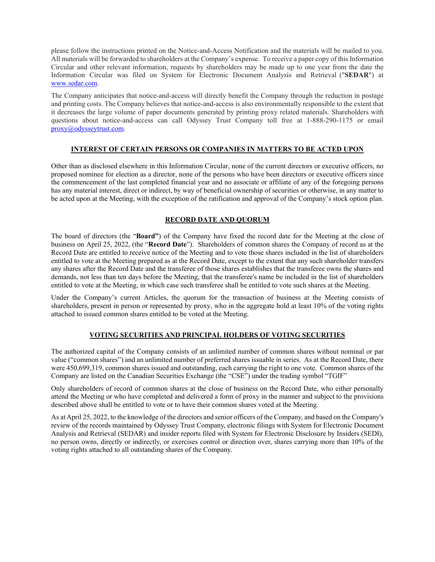please follow the instructions printed on the Notice-and-Access Notification and the materials will be mailed to you. All materials will be forwarded to shareholders at the Company's expense. To receive a paper copy of this Information Circular and other relevant information, requests by shareholders may be made up to one year from the date the Information Circular was filed on System for Electronic Document Analysis and Retrieval ("**SEDAR**") at www.sedar.com.

The Company anticipates that notice-and-access will directly benefit the Company through the reduction in postage and printing costs. The Company believes that notice-and-access is also environmentally responsible to the extent that it decreases the large volume of paper documents generated by printing proxy related materials. Shareholders with questions about notice-and-access can call Odyssey Trust Company toll free at 1-888-290-1175 or email proxy@odysseytrust.com.

#### **INTEREST OF CERTAIN PERSONS OR COMPANIES IN MATTERS TO BE ACTED UPON**

Other than as disclosed elsewhere in this Information Circular, none of the current directors or executive officers, no proposed nominee for election as a director, none of the persons who have been directors or executive officers since the commencement of the last completed financial year and no associate or affiliate of any of the foregoing persons has any material interest, direct or indirect, by way of beneficial ownership of securities or otherwise, in any matter to be acted upon at the Meeting, with the exception of the ratification and approval of the Company's stock option plan.

#### **RECORD DATE AND QUORUM**

The board of directors (the "**Board"**) of the Company have fixed the record date for the Meeting at the close of business on April 25, 2022, (the "**Record Date**"). Shareholders of common shares the Company of record as at the Record Date are entitled to receive notice of the Meeting and to vote those shares included in the list of shareholders entitled to vote at the Meeting prepared as at the Record Date, except to the extent that any such shareholder transfers any shares after the Record Date and the transferee of those shares establishes that the transferee owns the shares and demands, not less than ten days before the Meeting, that the transferee's name be included in the list of shareholders entitled to vote at the Meeting, in which case such transferee shall be entitled to vote such shares at the Meeting.

Under the Company's current Articles, the quorum for the transaction of business at the Meeting consists of shareholders, present in person or represented by proxy, who in the aggregate hold at least 10% of the voting rights attached to issued common shares entitled to be voted at the Meeting.

#### **VOTING SECURITIES AND PRINCIPAL HOLDERS OF VOTING SECURITIES**

The authorized capital of the Company consists of an unlimited number of common shares without nominal or par value ("common shares") and an unlimited number of preferred shares issuable in series. As at the Record Date, there were 450,699,319, common shares issued and outstanding, each carrying the right to one vote. Common shares of the Company are listed on the Canadian Securities Exchange (the "CSE") under the trading symbol "TGIF"

Only shareholders of record of common shares at the close of business on the Record Date, who either personally attend the Meeting or who have completed and delivered a form of proxy in the manner and subject to the provisions described above shall be entitled to vote or to have their common shares voted at the Meeting.

As at April 25, 2022, to the knowledge of the directors and senior officers of the Company, and based on the Company's review of the records maintained by Odyssey Trust Company, electronic filings with System for Electronic Document Analysis and Retrieval (SEDAR) and insider reports filed with System for Electronic Disclosure by Insiders (SEDI), no person owns, directly or indirectly, or exercises control or direction over, shares carrying more than 10% of the voting rights attached to all outstanding shares of the Company.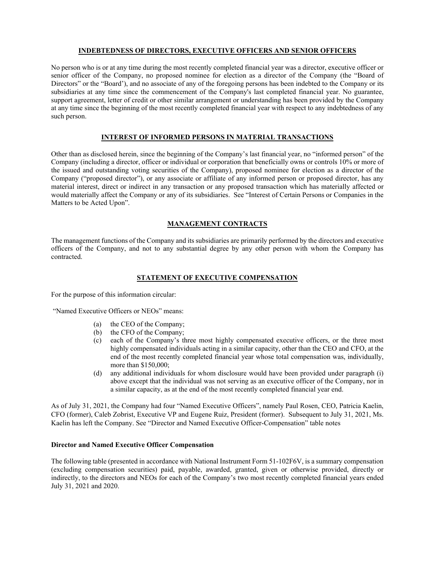#### **INDEBTEDNESS OF DIRECTORS, EXECUTIVE OFFICERS AND SENIOR OFFICERS**

No person who is or at any time during the most recently completed financial year was a director, executive officer or senior officer of the Company, no proposed nominee for election as a director of the Company (the "Board of Directors" or the "Board'), and no associate of any of the foregoing persons has been indebted to the Company or its subsidiaries at any time since the commencement of the Company's last completed financial year. No guarantee, support agreement, letter of credit or other similar arrangement or understanding has been provided by the Company at any time since the beginning of the most recently completed financial year with respect to any indebtedness of any such person.

#### **INTEREST OF INFORMED PERSONS IN MATERIAL TRANSACTIONS**

Other than as disclosed herein, since the beginning of the Company's last financial year, no "informed person" of the Company (including a director, officer or individual or corporation that beneficially owns or controls 10% or more of the issued and outstanding voting securities of the Company), proposed nominee for election as a director of the Company ("proposed director"), or any associate or affiliate of any informed person or proposed director, has any material interest, direct or indirect in any transaction or any proposed transaction which has materially affected or would materially affect the Company or any of its subsidiaries. See "Interest of Certain Persons or Companies in the Matters to be Acted Upon".

#### **MANAGEMENT CONTRACTS**

The management functions of the Company and its subsidiaries are primarily performed by the directors and executive officers of the Company, and not to any substantial degree by any other person with whom the Company has contracted.

#### **STATEMENT OF EXECUTIVE COMPENSATION**

For the purpose of this information circular:

"Named Executive Officers or NEOs" means:

- (a) the CEO of the Company;
- (b) the CFO of the Company;
- (c) each of the Company's three most highly compensated executive officers, or the three most highly compensated individuals acting in a similar capacity, other than the CEO and CFO, at the end of the most recently completed financial year whose total compensation was, individually, more than \$150,000;
- (d) any additional individuals for whom disclosure would have been provided under paragraph (i) above except that the individual was not serving as an executive officer of the Company, nor in a similar capacity, as at the end of the most recently completed financial year end.

As of July 31, 2021, the Company had four "Named Executive Officers", namely Paul Rosen, CEO, Patricia Kaelin, CFO (former), Caleb Zobrist, Executive VP and Eugene Ruiz, President (former). Subsequent to July 31, 2021, Ms. Kaelin has left the Company. See "Director and Named Executive Officer-Compensation" table notes

#### **Director and Named Executive Officer Compensation**

The following table (presented in accordance with National Instrument Form 51-102F6V, is a summary compensation (excluding compensation securities) paid, payable, awarded, granted, given or otherwise provided, directly or indirectly, to the directors and NEOs for each of the Company's two most recently completed financial years ended July 31, 2021 and 2020.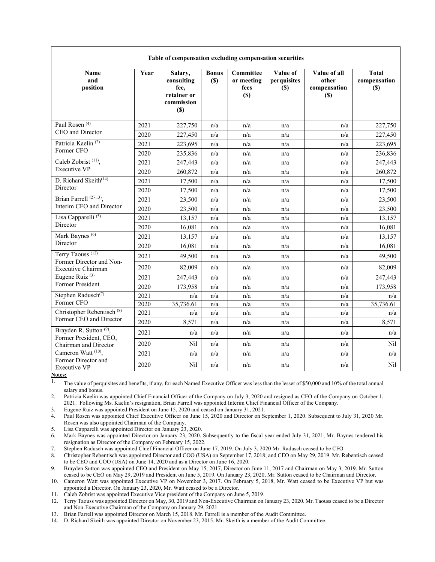| Table of compensation excluding compensation securities          |      |                                                                   |                     |                                        |                                        |                                              |                                     |  |
|------------------------------------------------------------------|------|-------------------------------------------------------------------|---------------------|----------------------------------------|----------------------------------------|----------------------------------------------|-------------------------------------|--|
| Name<br>and<br>position                                          | Year | Salary,<br>consulting<br>fee.<br>retainer or<br>commission<br>(S) | <b>Bonus</b><br>(S) | Committee<br>or meeting<br>fees<br>(S) | Value of<br>perquisites<br><b>(\$)</b> | Value of all<br>other<br>compensation<br>(S) | <b>Total</b><br>compensation<br>(S) |  |
| Paul Rosen <sup>(4)</sup>                                        | 2021 | 227,750                                                           | n/a                 | n/a                                    | n/a                                    | n/a                                          | 227,750                             |  |
| CEO and Director                                                 | 2020 | 227,450                                                           | n/a                 | n/a                                    | n/a                                    | n/a                                          | 227,450                             |  |
| Patricia Kaelin <sup>(2)</sup>                                   | 2021 | 223,695                                                           | n/a                 | n/a                                    | n/a                                    | n/a                                          | 223,695                             |  |
| Former CFO                                                       | 2020 | 235,836                                                           | n/a                 | n/a                                    | n/a                                    | n/a                                          | 236,836                             |  |
| Caleb Zobrist <sup>(11)</sup> ,                                  | 2021 | 247,443                                                           | n/a                 | n/a                                    | n/a                                    | n/a                                          | 247,443                             |  |
| <b>Executive VP</b>                                              | 2020 | 260,872                                                           | n/a                 | n/a                                    | n/a                                    | n/a                                          | 260,872                             |  |
| D. Richard Skeith <sup>(14)</sup>                                | 2021 | 17,500                                                            | n/a                 | n/a                                    | n/a                                    | n/a                                          | 17,500                              |  |
| Director                                                         | 2020 | 17,500                                                            | n/a                 | n/a                                    | n/a                                    | n/a                                          | 17,500                              |  |
| Brian Farrell <sup>(2)(13)</sup> ,<br>Interim CFO and Director   | 2021 | 23,500                                                            | n/a                 | n/a                                    | n/a                                    | n/a                                          | 23,500                              |  |
|                                                                  | 2020 | 23,500                                                            | n/a                 | n/a                                    | n/a                                    | n/a                                          | 23,500                              |  |
| Lisa Capparelli <sup>(5)</sup>                                   | 2021 | 13,157                                                            | n/a                 | n/a                                    | n/a                                    | n/a                                          | 13,157                              |  |
| Director                                                         | 2020 | 16,081                                                            | n/a                 | n/a                                    | n/a                                    | n/a                                          | 16,081                              |  |
| Mark Baynes <sup>(6)</sup><br>Director                           | 2021 | 13,157                                                            | n/a                 | n/a                                    | n/a                                    | n/a                                          | 13,157                              |  |
|                                                                  | 2020 | 16,081                                                            | n/a                 | n/a                                    | n/a                                    | n/a                                          | 16,081                              |  |
| Terry Taouss <sup>(12)</sup><br>Former Director and Non-         | 2021 | 49,500                                                            | n/a                 | n/a                                    | n/a                                    | n/a                                          | 49,500                              |  |
| Executive Chairman                                               | 2020 | 82,009                                                            | n/a                 | n/a                                    | n/a                                    | n/a                                          | 82,009                              |  |
| Eugene Ruiz <sup>(3)</sup>                                       | 2021 | 247,443                                                           | n/a                 | n/a                                    | n/a                                    | n/a                                          | 247,443                             |  |
| Former President                                                 | 2020 | 173,958                                                           | n/a                 | n/a                                    | n/a                                    | n/a                                          | 173,958                             |  |
| Stephen Radusch <sup>(7)</sup>                                   | 2021 | n/a                                                               | n/a                 | n/a                                    | n/a                                    | n/a                                          | n/a                                 |  |
| Former CFO                                                       | 2020 | 35,736.61                                                         | n/a                 | n/a                                    | n/a                                    | n/a                                          | 35,736.61                           |  |
| Christopher Rebentisch <sup>(8)</sup><br>Former CEO and Director | 2021 | n/a                                                               | n/a                 | n/a                                    | n/a                                    | n/a                                          | n/a                                 |  |
|                                                                  | 2020 | 8,571                                                             | n/a                 | n/a                                    | n/a                                    | n/a                                          | 8,571                               |  |
| Brayden R. Sutton <sup>(9)</sup> ,<br>Former President, CEO,     | 2021 | n/a                                                               | n/a                 | n/a                                    | n/a                                    | n/a                                          | n/a                                 |  |
| Chairman and Director                                            | 2020 | Nil                                                               | n/a                 | n/a                                    | n/a                                    | n/a                                          | Nil                                 |  |
| Cameron Watt <sup>(10)</sup> ,                                   | 2021 | n/a                                                               | n/a                 | n/a                                    | n/a                                    | n/a                                          | n/a                                 |  |
| Former Director and<br>Executive VP                              | 2020 | Nil                                                               | n/a                 | n/a                                    | n/a                                    | n/a                                          | Nil                                 |  |

**Table of compensation excluding compensation securities** 

**Notes:** 

<sup>1</sup>. The value of perquisites and benefits, if any, for each Named Executive Officer was less than the lesser of \$50,000 and 10% of the total annual salary and bonus.

2. Patricia Kaelin was appointed Chief Financial Officer of the Company on July 3, 2020 and resigned as CFO of the Company on October 1, 2021. Following Ms. Kaelin's resignation, Brian Farrell was appointed Interim Chief Financial Officer of the Company.

3. Eugene Ruiz was appointed President on June 15, 2020 and ceased on January 31, 2021.

4. Paul Rosen was appointed Chief Executive Officer on June 15, 2020 and Director on September 1, 2020. Subsequent to July 31, 2020 Mr. Rosen was also appointed Chairman of the Company.

5. Lisa Capparelli was appointed Director on January 23, 2020.

6. Mark Baynes was appointed Director on January 23, 2020. Subsequently to the fiscal year ended July 31, 2021, Mr. Baynes tendered his resignation as Director of the Company on February 15, 2022.

7. Stephen Radusch was appointed Chief Financial Officer on June 17, 2019. On July 3, 2020 Mr. Radusch ceased to be CFO.

8. Christopher Rebentisch was appointed Director and COO (USA) on September 17, 2018; and CEO on May 29, 2019. Mr. Rebentisch ceased to be CEO and COO (USA) on June 14, 2020 and as a Director on June 16, 2020.

9. Brayden Sutton was appointed CEO and President on May 15, 2017, Director on June 11, 2017 and Chairman on May 3, 2019. Mr. Sutton ceased to be CEO on May 29, 2019 and President on June 5, 2019. On January 23, 2020, Mr. Sutton ceased to be Chairman and Director.

10. Cameron Watt was appointed Executive VP on November 3, 2017. On February 5, 2018, Mr. Watt ceased to be Executive VP but was appointed a Director. On January 23, 2020, Mr. Watt ceased to be a Director.

11. Caleb Zobrist was appointed Executive Vice president of the Company on June 5, 2019.

12. Terry Taouss was appointed Director on May, 30, 2019 and Non-Executive Chairman on January 23, 2020. Mr. Taouss ceased to be a Director and Non-Executive Chairman of the Company on January 29, 2021.

13. Brian Farrell was appointed Director on March 15, 2018. Mr. Farrell is a member of the Audit Committee.

14. D. Richard Skeith was appointed Director on November 23, 2015. Mr. Skeith is a member of the Audit Committee.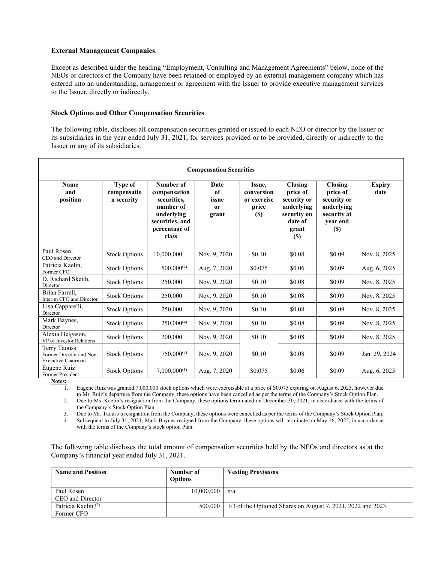#### **External Management Companies**.

Except as described under the heading "Employment, Consulting and Management Agreements" below, none of the NEOs or directors of the Company have been retained or employed by an external management company which has entered into an understanding, arrangement or agreement with the Issuer to provide executive management services to the Issuer, directly or indirectly.

#### **Stock Options and Other Compensation Securities**

The following table, discloses all compensation securities granted or issued to each NEO or director by the Issuer or its subsidiaries in the year ended July 31, 2021, for services provided or to be provided, directly or indirectly to the Issuer or any of its subsidiaries:

| <b>Compensation Securities</b>                                               |                                      |                                                                                                                  |                                               |                                                             |                                                                                                   |                                                                                             |                       |
|------------------------------------------------------------------------------|--------------------------------------|------------------------------------------------------------------------------------------------------------------|-----------------------------------------------|-------------------------------------------------------------|---------------------------------------------------------------------------------------------------|---------------------------------------------------------------------------------------------|-----------------------|
| <b>Name</b><br>and<br>position                                               | Type of<br>compensatio<br>n security | Number of<br>compensation<br>securities.<br>number of<br>underlying<br>securities, and<br>percentage of<br>class | Date<br>of<br>issue<br><sub>or</sub><br>grant | Issue,<br>conversion<br>or exercise<br>price<br><b>(\$)</b> | <b>Closing</b><br>price of<br>security or<br>underlying<br>security on<br>date of<br>grant<br>(S) | <b>Closing</b><br>price of<br>security or<br>underlying<br>security at<br>year end<br>$(s)$ | <b>Expiry</b><br>date |
| Paul Rosen.<br>CEO and Director                                              | <b>Stock Options</b>                 | 10,000,000                                                                                                       | Nov. 9, 2020                                  | \$0.10                                                      | \$0.08                                                                                            | \$0.09                                                                                      | Nov. 8, 2025          |
| Patricia Kaelin.<br>Former CFO                                               | <b>Stock Options</b>                 | $500,000^{(2)}$                                                                                                  | Aug. 7, 2020                                  | \$0.075                                                     | \$0.06                                                                                            | \$0.09                                                                                      | Aug. 6, 2025          |
| D. Richard Skeith,<br>Director                                               | <b>Stock Options</b>                 | 250,000                                                                                                          | Nov. 9, 2020                                  | \$0.10                                                      | \$0.08                                                                                            | \$0.09                                                                                      | Nov. 8, 2025          |
| Brian Farrell.<br>Interim CFO and Director                                   | <b>Stock Options</b>                 | 250,000                                                                                                          | Nov. 9, 2020                                  | \$0.10                                                      | \$0.08                                                                                            | \$0.09                                                                                      | Nov. 8, 2025          |
| Lisa Capparelli,<br>Director                                                 | <b>Stock Options</b>                 | 250,000                                                                                                          | Nov. 9, 2020                                  | \$0.10                                                      | \$0.08                                                                                            | \$0.09                                                                                      | Nov. 8, 2025          |
| Mark Baynes,<br>Director                                                     | <b>Stock Options</b>                 | $250,000^{(4)}$                                                                                                  | Nov. 9, 2020                                  | \$0.10                                                      | \$0.08                                                                                            | \$0.09                                                                                      | Nov. 8, 2025          |
| Alexia Helgason,<br>VP of Investor Relations                                 | <b>Stock Options</b>                 | 200,000                                                                                                          | Nov. 9, 2020                                  | \$0.10                                                      | \$0.08                                                                                            | \$0.09                                                                                      | Nov. 8, 2025          |
| <b>Terry Taouss</b><br>Former Director and Non-<br><b>Executive Chairman</b> | <b>Stock Options</b>                 | $750,000^{(3)}$                                                                                                  | Nov. 9, 2020                                  | \$0.10                                                      | \$0.08                                                                                            | \$0.09                                                                                      | Jan. 29, 2024         |
| Eugene Ruiz<br>Former President                                              | <b>Stock Options</b>                 | $7,000,000^{(1)}$                                                                                                | Aug. 7, 2020                                  | \$0.075                                                     | \$0.06                                                                                            | \$0.09                                                                                      | Aug. 6, 2025          |

**Notes:** 

1. Eugene Ruiz was granted 7,000,000 stock options which were exercisable at a price of \$0.075 expiring on August 6, 2025, however due to Mr. Ruiz's departure from the Company, these options have been cancelled as per the terms of the Company's Stock Option Plan.

2. Due to Ms. Kaelin's resignation from the Company, these options terminated on December 30, 2021, in accordance with the terms of the Company's Stock Option Plan.

3. Due to Mr. Taouss's resignation from the Company, these options were cancelled as per the terms of the Company's Stock Option Plan.

4. Subsequent to July 31, 2021, Mark Baynes resigned from the Company, these options will terminate on May 16, 2022, in accordance with the terms of the Company's stock option Plan.

The following table discloses the total amount of compensation securities held by the NEOs and directors as at the Company's financial year ended July 31, 2021.

| <b>Name and Position</b>        | Number of<br><b>Options</b> | <b>Vesting Provisions</b>                                      |
|---------------------------------|-----------------------------|----------------------------------------------------------------|
| Paul Rosen                      | 10,000,000                  | n/a                                                            |
| CEO and Director                |                             |                                                                |
| Patricia Kaelin, <sup>(2)</sup> | 500,000                     | $1/3$ of the Optioned Shares on August 7, 2021, 2022 and 2023. |
| Former CFO                      |                             |                                                                |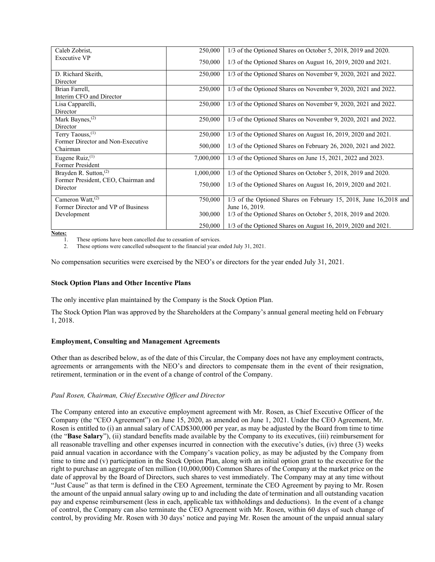| Caleb Zobrist,                      | 250,000   | 1/3 of the Optioned Shares on October 5, 2018, 2019 and 2020.                        |
|-------------------------------------|-----------|--------------------------------------------------------------------------------------|
| Executive VP                        | 750,000   | $1/3$ of the Optioned Shares on August 16, 2019, 2020 and 2021.                      |
| D. Richard Skeith,                  | 250,000   | 1/3 of the Optioned Shares on November 9, 2020, 2021 and 2022.                       |
| Director                            |           |                                                                                      |
| Brian Farrell,                      | 250,000   | 1/3 of the Optioned Shares on November 9, 2020, 2021 and 2022.                       |
| Interim CFO and Director            |           |                                                                                      |
| Lisa Capparelli,                    | 250,000   | 1/3 of the Optioned Shares on November 9, 2020, 2021 and 2022.                       |
| Director                            |           |                                                                                      |
| Mark Baynes, <sup>(2)</sup>         | 250,000   | 1/3 of the Optioned Shares on November 9, 2020, 2021 and 2022.                       |
| Director                            |           |                                                                                      |
| Terry Taouss, <sup>(1)</sup>        | 250,000   | $1/3$ of the Optioned Shares on August 16, 2019, 2020 and 2021.                      |
| Former Director and Non-Executive   |           |                                                                                      |
| Chairman                            | 500,000   | $1/3$ of the Optioned Shares on February 26, 2020, 2021 and 2022.                    |
| Eugene Ruiz, $(1)$                  | 7,000,000 | 1/3 of the Optioned Shares on June 15, 2021, 2022 and 2023.                          |
| Former President                    |           |                                                                                      |
| Brayden R. Sutton, $(2)$            | 1,000,000 | 1/3 of the Optioned Shares on October 5, 2018, 2019 and 2020.                        |
| Former President, CEO, Chairman and |           |                                                                                      |
| Director                            | 750,000   | $1/3$ of the Optioned Shares on August 16, 2019, 2020 and 2021.                      |
| Cameron Watt, $(2)$                 |           |                                                                                      |
| Former Director and VP of Business  | 750,000   | 1/3 of the Optioned Shares on February 15, 2018, June 16, 2018 and<br>June 16, 2019. |
|                                     | 300,000   |                                                                                      |
| Development                         |           | 1/3 of the Optioned Shares on October 5, 2018, 2019 and 2020.                        |
|                                     | 250,000   | $1/3$ of the Optioned Shares on August 16, 2019, 2020 and 2021.                      |

**Notes:** 

1. These options have been cancelled due to cessation of services.

2. These options were cancelled subsequent to the financial year ended July 31, 2021.

No compensation securities were exercised by the NEO's or directors for the year ended July 31, 2021.

#### **Stock Option Plans and Other Incentive Plans**

The only incentive plan maintained by the Company is the Stock Option Plan.

The Stock Option Plan was approved by the Shareholders at the Company's annual general meeting held on February 1, 2018.

#### **Employment, Consulting and Management Agreements**

Other than as described below, as of the date of this Circular, the Company does not have any employment contracts, agreements or arrangements with the NEO's and directors to compensate them in the event of their resignation, retirement, termination or in the event of a change of control of the Company.

#### *Paul Rosen, Chairman, Chief Executive Officer and Director*

The Company entered into an executive employment agreement with Mr. Rosen, as Chief Executive Officer of the Company (the "CEO Agreement") on June 15, 2020, as amended on June 1, 2021. Under the CEO Agreement, Mr. Rosen is entitled to (i) an annual salary of CAD\$300,000 per year, as may be adjusted by the Board from time to time (the "**Base Salary**"), (ii) standard benefits made available by the Company to its executives, (iii) reimbursement for all reasonable travelling and other expenses incurred in connection with the executive's duties, (iv) three (3) weeks paid annual vacation in accordance with the Company's vacation policy, as may be adjusted by the Company from time to time and (v) participation in the Stock Option Plan, along with an initial option grant to the executive for the right to purchase an aggregate of ten million (10,000,000) Common Shares of the Company at the market price on the date of approval by the Board of Directors, such shares to vest immediately. The Company may at any time without "Just Cause" as that term is defined in the CEO Agreement, terminate the CEO Agreement by paying to Mr. Rosen the amount of the unpaid annual salary owing up to and including the date of termination and all outstanding vacation pay and expense reimbursement (less in each, applicable tax withholdings and deductions). In the event of a change of control, the Company can also terminate the CEO Agreement with Mr. Rosen, within 60 days of such change of control, by providing Mr. Rosen with 30 days' notice and paying Mr. Rosen the amount of the unpaid annual salary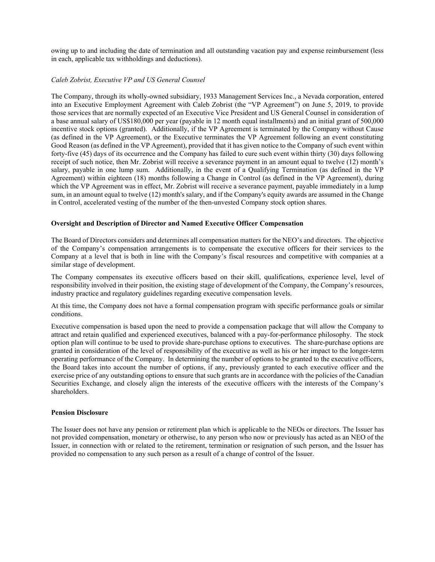owing up to and including the date of termination and all outstanding vacation pay and expense reimbursement (less in each, applicable tax withholdings and deductions).

#### *Caleb Zobrist, Executive VP and US General Counsel*

The Company, through its wholly-owned subsidiary, 1933 Management Services Inc., a Nevada corporation, entered into an Executive Employment Agreement with Caleb Zobrist (the "VP Agreement") on June 5, 2019, to provide those services that are normally expected of an Executive Vice President and US General Counsel in consideration of a base annual salary of US\$180,000 per year (payable in 12 month equal installments) and an initial grant of 500,000 incentive stock options (granted). Additionally, if the VP Agreement is terminated by the Company without Cause (as defined in the VP Agreement), or the Executive terminates the VP Agreement following an event constituting Good Reason (as defined in the VP Agreement), provided that it has given notice to the Company of such event within forty-five (45) days of its occurrence and the Company has failed to cure such event within thirty (30) days following receipt of such notice, then Mr. Zobrist will receive a severance payment in an amount equal to twelve (12) month's salary, payable in one lump sum. Additionally, in the event of a Qualifying Termination (as defined in the VP Agreement) within eighteen (18) months following a Change in Control (as defined in the VP Agreement), during which the VP Agreement was in effect, Mr. Zobrist will receive a severance payment, payable immediately in a lump sum, in an amount equal to twelve (12) month's salary, and if the Company's equity awards are assumed in the Change in Control, accelerated vesting of the number of the then-unvested Company stock option shares.

#### **Oversight and Description of Director and Named Executive Officer Compensation**

The Board of Directors considers and determines all compensation matters for the NEO's and directors. The objective of the Company's compensation arrangements is to compensate the executive officers for their services to the Company at a level that is both in line with the Company's fiscal resources and competitive with companies at a similar stage of development.

The Company compensates its executive officers based on their skill, qualifications, experience level, level of responsibility involved in their position, the existing stage of development of the Company, the Company's resources, industry practice and regulatory guidelines regarding executive compensation levels.

At this time, the Company does not have a formal compensation program with specific performance goals or similar conditions.

Executive compensation is based upon the need to provide a compensation package that will allow the Company to attract and retain qualified and experienced executives, balanced with a pay-for-performance philosophy. The stock option plan will continue to be used to provide share-purchase options to executives. The share-purchase options are granted in consideration of the level of responsibility of the executive as well as his or her impact to the longer-term operating performance of the Company. In determining the number of options to be granted to the executive officers, the Board takes into account the number of options, if any, previously granted to each executive officer and the exercise price of any outstanding options to ensure that such grants are in accordance with the policies of the Canadian Securities Exchange, and closely align the interests of the executive officers with the interests of the Company's shareholders.

#### **Pension Disclosure**

The Issuer does not have any pension or retirement plan which is applicable to the NEOs or directors. The Issuer has not provided compensation, monetary or otherwise, to any person who now or previously has acted as an NEO of the Issuer, in connection with or related to the retirement, termination or resignation of such person, and the Issuer has provided no compensation to any such person as a result of a change of control of the Issuer.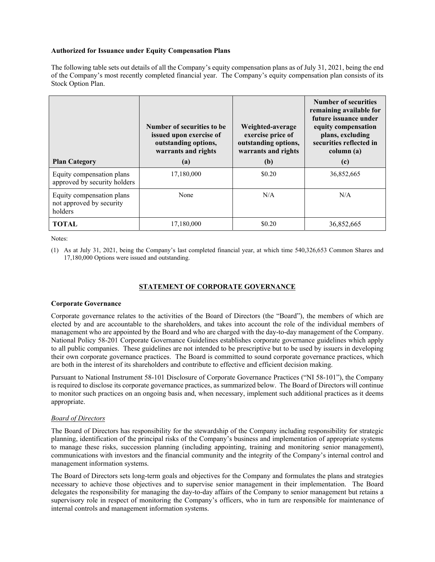#### **Authorized for Issuance under Equity Compensation Plans**

The following table sets out details of all the Company's equity compensation plans as of July 31, 2021, being the end of the Company's most recently completed financial year. The Company's equity compensation plan consists of its Stock Option Plan.

| <b>Plan Category</b>                                             | Number of securities to be.<br>issued upon exercise of<br>outstanding options,<br>warrants and rights<br>(a) | Weighted-average<br>exercise price of<br>outstanding options,<br>warrants and rights<br>(b) | <b>Number of securities</b><br>remaining available for<br>future issuance under<br>equity compensation<br>plans, excluding<br>securities reflected in<br>column (a)<br>$\left( \mathrm{c}\right)$ |
|------------------------------------------------------------------|--------------------------------------------------------------------------------------------------------------|---------------------------------------------------------------------------------------------|---------------------------------------------------------------------------------------------------------------------------------------------------------------------------------------------------|
| Equity compensation plans<br>approved by security holders        | 17,180,000                                                                                                   | \$0.20                                                                                      | 36,852,665                                                                                                                                                                                        |
| Equity compensation plans<br>not approved by security<br>holders | None                                                                                                         | N/A                                                                                         | N/A                                                                                                                                                                                               |
| <b>TOTAL</b>                                                     | 17,180,000                                                                                                   | \$0.20                                                                                      | 36,852,665                                                                                                                                                                                        |

Notes:

(1) As at July 31, 2021, being the Company's last completed financial year, at which time 540,326,653 Common Shares and 17,180,000 Options were issued and outstanding.

#### **STATEMENT OF CORPORATE GOVERNANCE**

#### **Corporate Governance**

Corporate governance relates to the activities of the Board of Directors (the "Board"), the members of which are elected by and are accountable to the shareholders, and takes into account the role of the individual members of management who are appointed by the Board and who are charged with the day-to-day management of the Company. National Policy 58-201 Corporate Governance Guidelines establishes corporate governance guidelines which apply to all public companies. These guidelines are not intended to be prescriptive but to be used by issuers in developing their own corporate governance practices. The Board is committed to sound corporate governance practices, which are both in the interest of its shareholders and contribute to effective and efficient decision making.

Pursuant to National Instrument 58-101 Disclosure of Corporate Governance Practices ("NI 58-101"), the Company is required to disclose its corporate governance practices, as summarized below. The Board of Directors will continue to monitor such practices on an ongoing basis and, when necessary, implement such additional practices as it deems appropriate.

#### *Board of Directors*

The Board of Directors has responsibility for the stewardship of the Company including responsibility for strategic planning, identification of the principal risks of the Company's business and implementation of appropriate systems to manage these risks, succession planning (including appointing, training and monitoring senior management), communications with investors and the financial community and the integrity of the Company's internal control and management information systems.

The Board of Directors sets long-term goals and objectives for the Company and formulates the plans and strategies necessary to achieve those objectives and to supervise senior management in their implementation. The Board delegates the responsibility for managing the day-to-day affairs of the Company to senior management but retains a supervisory role in respect of monitoring the Company's officers, who in turn are responsible for maintenance of internal controls and management information systems.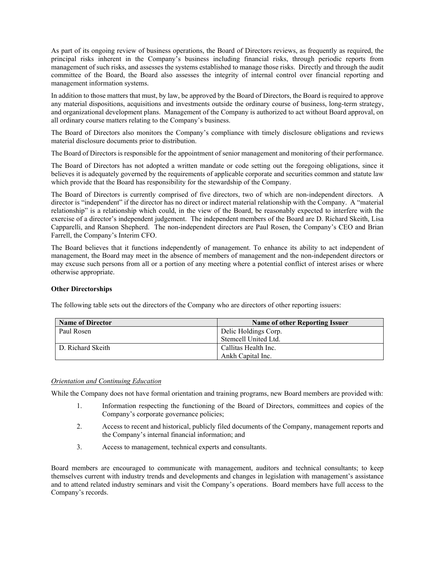As part of its ongoing review of business operations, the Board of Directors reviews, as frequently as required, the principal risks inherent in the Company's business including financial risks, through periodic reports from management of such risks, and assesses the systems established to manage those risks. Directly and through the audit committee of the Board, the Board also assesses the integrity of internal control over financial reporting and management information systems.

In addition to those matters that must, by law, be approved by the Board of Directors, the Board is required to approve any material dispositions, acquisitions and investments outside the ordinary course of business, long-term strategy, and organizational development plans. Management of the Company is authorized to act without Board approval, on all ordinary course matters relating to the Company's business.

The Board of Directors also monitors the Company's compliance with timely disclosure obligations and reviews material disclosure documents prior to distribution.

The Board of Directors is responsible for the appointment of senior management and monitoring of their performance.

The Board of Directors has not adopted a written mandate or code setting out the foregoing obligations, since it believes it is adequately governed by the requirements of applicable corporate and securities common and statute law which provide that the Board has responsibility for the stewardship of the Company.

The Board of Directors is currently comprised of five directors, two of which are non-independent directors. A director is "independent" if the director has no direct or indirect material relationship with the Company. A "material relationship" is a relationship which could, in the view of the Board, be reasonably expected to interfere with the exercise of a director's independent judgement. The independent members of the Board are D. Richard Skeith, Lisa Capparelli, and Ranson Shepherd. The non-independent directors are Paul Rosen, the Company's CEO and Brian Farrell, the Company's Interim CFO.

The Board believes that it functions independently of management. To enhance its ability to act independent of management, the Board may meet in the absence of members of management and the non-independent directors or may excuse such persons from all or a portion of any meeting where a potential conflict of interest arises or where otherwise appropriate.

#### **Other Directorships**

The following table sets out the directors of the Company who are directors of other reporting issuers:

| <b>Name of Director</b> | Name of other Reporting Issuer |
|-------------------------|--------------------------------|
| Paul Rosen              | Delic Holdings Corp.           |
|                         | Stemcell United Ltd.           |
| D. Richard Skeith       | Callitas Health Inc.           |
|                         | Ankh Capital Inc.              |

#### *Orientation and Continuing Education*

While the Company does not have formal orientation and training programs, new Board members are provided with:

- 1. Information respecting the functioning of the Board of Directors, committees and copies of the Company's corporate governance policies;
- 2. Access to recent and historical, publicly filed documents of the Company, management reports and the Company's internal financial information; and
- 3. Access to management, technical experts and consultants.

Board members are encouraged to communicate with management, auditors and technical consultants; to keep themselves current with industry trends and developments and changes in legislation with management's assistance and to attend related industry seminars and visit the Company's operations. Board members have full access to the Company's records.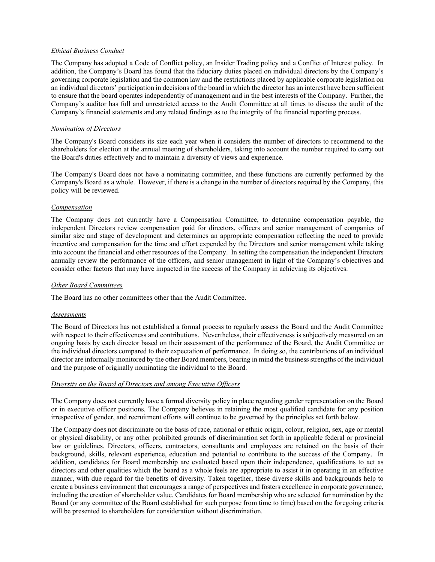#### *Ethical Business Conduct*

The Company has adopted a Code of Conflict policy, an Insider Trading policy and a Conflict of Interest policy. In addition, the Company's Board has found that the fiduciary duties placed on individual directors by the Company's governing corporate legislation and the common law and the restrictions placed by applicable corporate legislation on an individual directors' participation in decisions of the board in which the director has an interest have been sufficient to ensure that the board operates independently of management and in the best interests of the Company. Further, the Company's auditor has full and unrestricted access to the Audit Committee at all times to discuss the audit of the Company's financial statements and any related findings as to the integrity of the financial reporting process.

#### *Nomination of Directors*

The Company's Board considers its size each year when it considers the number of directors to recommend to the shareholders for election at the annual meeting of shareholders, taking into account the number required to carry out the Board's duties effectively and to maintain a diversity of views and experience.

The Company's Board does not have a nominating committee, and these functions are currently performed by the Company's Board as a whole. However, if there is a change in the number of directors required by the Company, this policy will be reviewed.

#### *Compensation*

The Company does not currently have a Compensation Committee, to determine compensation payable, the independent Directors review compensation paid for directors, officers and senior management of companies of similar size and stage of development and determines an appropriate compensation reflecting the need to provide incentive and compensation for the time and effort expended by the Directors and senior management while taking into account the financial and other resources of the Company. In setting the compensation the independent Directors annually review the performance of the officers, and senior management in light of the Company's objectives and consider other factors that may have impacted in the success of the Company in achieving its objectives.

#### *Other Board Committees*

The Board has no other committees other than the Audit Committee.

#### *Assessments*

The Board of Directors has not established a formal process to regularly assess the Board and the Audit Committee with respect to their effectiveness and contributions. Nevertheless, their effectiveness is subjectively measured on an ongoing basis by each director based on their assessment of the performance of the Board, the Audit Committee or the individual directors compared to their expectation of performance. In doing so, the contributions of an individual director are informally monitored by the other Board members, bearing in mind the business strengths of the individual and the purpose of originally nominating the individual to the Board.

#### *Diversity on the Board of Directors and among Executive Officers*

The Company does not currently have a formal diversity policy in place regarding gender representation on the Board or in executive officer positions. The Company believes in retaining the most qualified candidate for any position irrespective of gender, and recruitment efforts will continue to be governed by the principles set forth below.

The Company does not discriminate on the basis of race, national or ethnic origin, colour, religion, sex, age or mental or physical disability, or any other prohibited grounds of discrimination set forth in applicable federal or provincial law or guidelines. Directors, officers, contractors, consultants and employees are retained on the basis of their background, skills, relevant experience, education and potential to contribute to the success of the Company. In addition, candidates for Board membership are evaluated based upon their independence, qualifications to act as directors and other qualities which the board as a whole feels are appropriate to assist it in operating in an effective manner, with due regard for the benefits of diversity. Taken together, these diverse skills and backgrounds help to create a business environment that encourages a range of perspectives and fosters excellence in corporate governance, including the creation of shareholder value. Candidates for Board membership who are selected for nomination by the Board (or any committee of the Board established for such purpose from time to time) based on the foregoing criteria will be presented to shareholders for consideration without discrimination.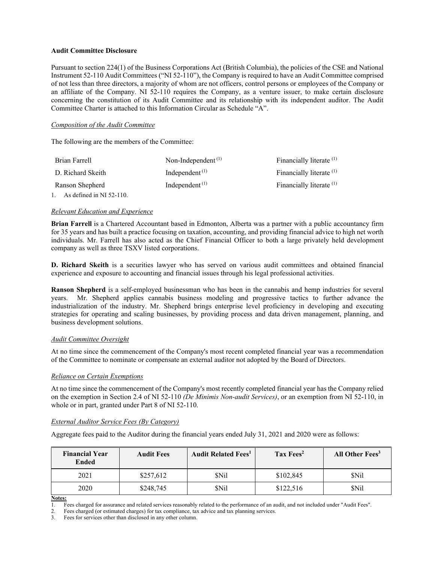#### **Audit Committee Disclosure**

Pursuant to section 224(1) of the Business Corporations Act (British Columbia), the policies of the CSE and National Instrument 52-110 Audit Committees ("NI 52-110"), the Company is required to have an Audit Committee comprised of not less than three directors, a majority of whom are not officers, control persons or employees of the Company or an affiliate of the Company. NI 52-110 requires the Company, as a venture issuer, to make certain disclosure concerning the constitution of its Audit Committee and its relationship with its independent auditor. The Audit Committee Charter is attached to this Information Circular as Schedule "A".

#### *Composition of the Audit Committee*

The following are the members of the Committee:

| Brian Farrell               | Non-Independent $^{(1)}$ | Financially literate <sup>(1)</sup> |
|-----------------------------|--------------------------|-------------------------------------|
| D. Richard Skeith           | Independent $(1)$        | Financially literate <sup>(1)</sup> |
| Ranson Shepherd             | Independent $(1)$        | Financially literate (1)            |
| 1. As defined in NI 52-110. |                          |                                     |

#### *Relevant Education and Experience*

**Brian Farrell** is a Chartered Accountant based in Edmonton, Alberta was a partner with a public accountancy firm for 35 years and has built a practice focusing on taxation, accounting, and providing financial advice to high net worth individuals. Mr. Farrell has also acted as the Chief Financial Officer to both a large privately held development company as well as three TSXV listed corporations.

**D. Richard Skeith** is a securities lawyer who has served on various audit committees and obtained financial experience and exposure to accounting and financial issues through his legal professional activities.

**Ranson Shepherd** is a self-employed businessman who has been in the cannabis and hemp industries for several years. Mr. Shepherd applies cannabis business modeling and progressive tactics to further advance the industrialization of the industry. Mr. Shepherd brings enterprise level proficiency in developing and executing strategies for operating and scaling businesses, by providing process and data driven management, planning, and business development solutions.

#### *Audit Committee Oversight*

At no time since the commencement of the Company's most recent completed financial year was a recommendation of the Committee to nominate or compensate an external auditor not adopted by the Board of Directors.

#### *Reliance on Certain Exemptions*

At no time since the commencement of the Company's most recently completed financial year has the Company relied on the exemption in Section 2.4 of NI 52-110 *(De Minimis Non-audit Services)*, or an exemption from NI 52-110, in whole or in part, granted under Part 8 of NI 52-110.

#### *External Auditor Service Fees (By Category)*

Aggregate fees paid to the Auditor during the financial years ended July 31, 2021 and 2020 were as follows:

| <b>Financial Year</b><br><b>Ended</b> | <b>Audit Fees</b> | <b>Audit Related Fees<sup>1</sup></b> | Tax Fees <sup>2</sup> | All Other Fees <sup>3</sup> |
|---------------------------------------|-------------------|---------------------------------------|-----------------------|-----------------------------|
| 2021                                  | \$257,612         | \$Nil                                 | \$102,845             | \$Nil                       |
| 2020                                  | \$248,745         | \$Nil                                 | \$122,516             | \$Nil                       |

**Notes:** 

1. Fees charged for assurance and related services reasonably related to the performance of an audit, and not included under "Audit Fees".

2. Fees charged (or estimated charges) for tax compliance, tax advice and tax planning services.

3. Fees for services other than disclosed in any other column.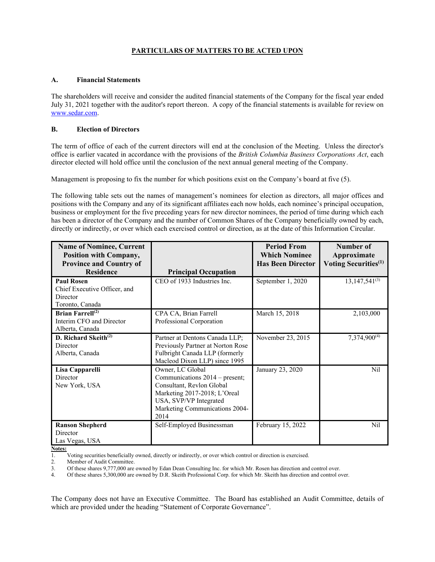### **PARTICULARS OF MATTERS TO BE ACTED UPON**

#### **A. Financial Statements**

The shareholders will receive and consider the audited financial statements of the Company for the fiscal year ended July 31, 2021 together with the auditor's report thereon. A copy of the financial statements is available for review on www.sedar.com.

#### **B. Election of Directors**

The term of office of each of the current directors will end at the conclusion of the Meeting. Unless the director's office is earlier vacated in accordance with the provisions of the *British Columbia Business Corporations Act*, each director elected will hold office until the conclusion of the next annual general meeting of the Company.

Management is proposing to fix the number for which positions exist on the Company's board at five (5).

The following table sets out the names of management's nominees for election as directors, all major offices and positions with the Company and any of its significant affiliates each now holds, each nominee's principal occupation, business or employment for the five preceding years for new director nominees, the period of time during which each has been a director of the Company and the number of Common Shares of the Company beneficially owned by each, directly or indirectly, or over which each exercised control or direction, as at the date of this Information Circular.

| <b>Name of Nominee, Current</b><br><b>Position with Company,</b>                 |                                                                                                                                                                                     | <b>Period From</b><br><b>Which Nominee</b> | Number of<br>Approximate         |
|----------------------------------------------------------------------------------|-------------------------------------------------------------------------------------------------------------------------------------------------------------------------------------|--------------------------------------------|----------------------------------|
| <b>Province and Country of</b><br><b>Residence</b>                               | <b>Principal Occupation</b>                                                                                                                                                         | <b>Has Been Director</b>                   | Voting Securities <sup>(1)</sup> |
| <b>Paul Rosen</b><br>Chief Executive Officer, and<br>Director<br>Toronto, Canada | CEO of 1933 Industries Inc.                                                                                                                                                         | September 1, 2020                          | $13,147,541^{(3)}$               |
| Brian Farrell $^{(2)}$<br>Interim CFO and Director<br>Alberta, Canada            | CPA CA, Brian Farrell<br>Professional Corporation                                                                                                                                   | March 15, 2018                             | 2,103,000                        |
| D. Richard Skeith <sup>(2)</sup><br>Director<br>Alberta, Canada                  | Partner at Dentons Canada LLP;<br>Previously Partner at Norton Rose<br>Fulbright Canada LLP (formerly<br>Macleod Dixon LLP) since 1995                                              | November 23, 2015                          | $7,374,900^{(4)}$                |
| Lisa Capparelli<br>Director<br>New York, USA                                     | Owner, LC Global<br>Communications 2014 – present;<br>Consultant, Revlon Global<br>Marketing 2017-2018; L'Oreal<br>USA, SVP/VP Integrated<br>Marketing Communications 2004-<br>2014 | January 23, 2020                           | N <sub>il</sub>                  |
| <b>Ranson Shepherd</b><br>Director<br>Las Vegas, USA                             | Self-Employed Businessman                                                                                                                                                           | February 15, 2022                          | Nil                              |

**Notes:** 

1. Voting securities beneficially owned, directly or indirectly, or over which control or direction is exercised.

2. Member of Audit Committee.

3. Of these shares 9,777,000 are owned by Edan Dean Consulting Inc. for which Mr. Rosen has direction and control over.

4. Of these shares 5,300,000 are owned by D.R. Skeith Professional Corp. for which Mr. Skeith has direction and control over.

The Company does not have an Executive Committee. The Board has established an Audit Committee, details of which are provided under the heading "Statement of Corporate Governance".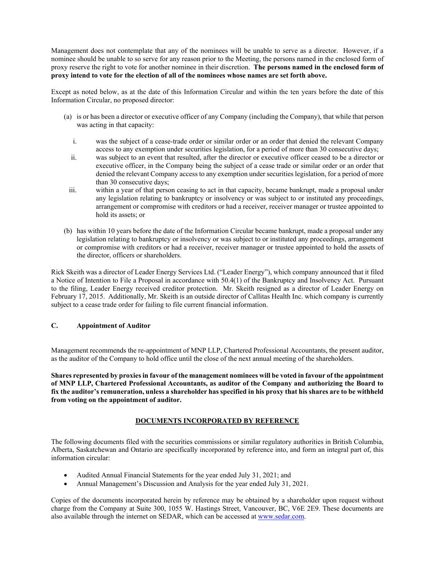Management does not contemplate that any of the nominees will be unable to serve as a director. However, if a nominee should be unable to so serve for any reason prior to the Meeting, the persons named in the enclosed form of proxy reserve the right to vote for another nominee in their discretion. **The persons named in the enclosed form of proxy intend to vote for the election of all of the nominees whose names are set forth above.** 

Except as noted below, as at the date of this Information Circular and within the ten years before the date of this Information Circular, no proposed director:

- (a) is or has been a director or executive officer of any Company (including the Company), that while that person was acting in that capacity:
	- i. was the subject of a cease-trade order or similar order or an order that denied the relevant Company access to any exemption under securities legislation, for a period of more than 30 consecutive days;
	- ii. was subject to an event that resulted, after the director or executive officer ceased to be a director or executive officer, in the Company being the subject of a cease trade or similar order or an order that denied the relevant Company access to any exemption under securities legislation, for a period of more than 30 consecutive days;
	- iii. within a year of that person ceasing to act in that capacity, became bankrupt, made a proposal under any legislation relating to bankruptcy or insolvency or was subject to or instituted any proceedings, arrangement or compromise with creditors or had a receiver, receiver manager or trustee appointed to hold its assets; or
- (b) has within 10 years before the date of the Information Circular became bankrupt, made a proposal under any legislation relating to bankruptcy or insolvency or was subject to or instituted any proceedings, arrangement or compromise with creditors or had a receiver, receiver manager or trustee appointed to hold the assets of the director, officers or shareholders.

Rick Skeith was a director of Leader Energy Services Ltd. ("Leader Energy"), which company announced that it filed a Notice of Intention to File a Proposal in accordance with 50.4(1) of the Bankruptcy and Insolvency Act. Pursuant to the filing, Leader Energy received creditor protection. Mr. Skeith resigned as a director of Leader Energy on February 17, 2015. Additionally, Mr. Skeith is an outside director of Callitas Health Inc. which company is currently subject to a cease trade order for failing to file current financial information.

#### **C. Appointment of Auditor**

Management recommends the re-appointment of MNP LLP, Chartered Professional Accountants, the present auditor, as the auditor of the Company to hold office until the close of the next annual meeting of the shareholders.

**Shares represented by proxies in favour of the management nominees will be voted in favour of the appointment of MNP LLP, Chartered Professional Accountants, as auditor of the Company and authorizing the Board to fix the auditor's remuneration, unless a shareholder has specified in his proxy that his shares are to be withheld from voting on the appointment of auditor.**

#### **DOCUMENTS INCORPORATED BY REFERENCE**

The following documents filed with the securities commissions or similar regulatory authorities in British Columbia, Alberta, Saskatchewan and Ontario are specifically incorporated by reference into, and form an integral part of, this information circular:

- Audited Annual Financial Statements for the year ended July 31, 2021; and
- Annual Management's Discussion and Analysis for the year ended July 31, 2021.

Copies of the documents incorporated herein by reference may be obtained by a shareholder upon request without charge from the Company at Suite 300, 1055 W. Hastings Street, Vancouver, BC, V6E 2E9. These documents are also available through the internet on SEDAR, which can be accessed at www.sedar.com.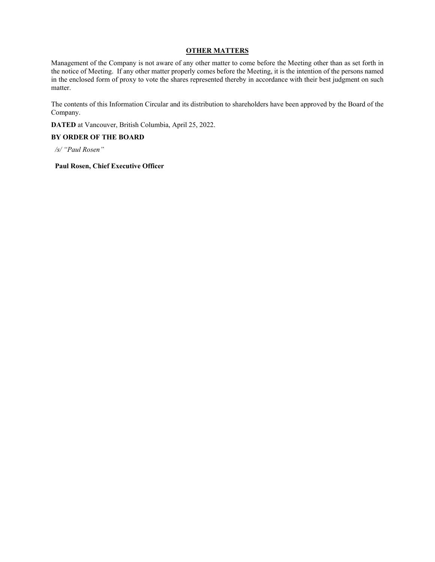#### **OTHER MATTERS**

Management of the Company is not aware of any other matter to come before the Meeting other than as set forth in the notice of Meeting. If any other matter properly comes before the Meeting, it is the intention of the persons named in the enclosed form of proxy to vote the shares represented thereby in accordance with their best judgment on such matter.

The contents of this Information Circular and its distribution to shareholders have been approved by the Board of the Company.

**DATED** at Vancouver, British Columbia, April 25, 2022.

#### **BY ORDER OF THE BOARD**

*/s/ "Paul Rosen"* 

#### **Paul Rosen, Chief Executive Officer**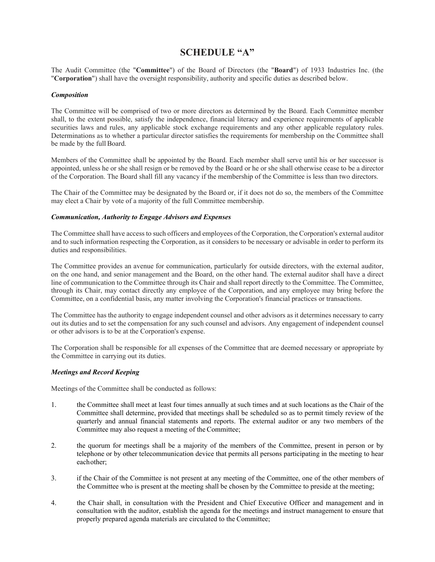### **SCHEDULE "A"**

The Audit Committee (the "**Committee**") of the Board of Directors (the "**Board**") of 1933 Industries Inc. (the "**Corporation**") shall have the oversight responsibility, authority and specific duties as described below.

#### *Composition*

The Committee will be comprised of two or more directors as determined by the Board. Each Committee member shall, to the extent possible, satisfy the independence, financial literacy and experience requirements of applicable securities laws and rules, any applicable stock exchange requirements and any other applicable regulatory rules. Determinations as to whether a particular director satisfies the requirements for membership on the Committee shall be made by the full Board.

Members of the Committee shall be appointed by the Board. Each member shall serve until his or her successor is appointed, unless he or she shall resign or be removed by the Board or he or she shall otherwise cease to be a director of the Corporation. The Board shall fill any vacancy if the membership of the Committee is less than two directors.

The Chair of the Committee may be designated by the Board or, if it does not do so, the members of the Committee may elect a Chair by vote of a majority of the full Committee membership.

#### *Communication, Authority to Engage Advisors and Expenses*

The Committee shall have access to such officers and employees of the Corporation, the Corporation's external auditor and to such information respecting the Corporation, as it considers to be necessary or advisable in order to perform its duties and responsibilities.

The Committee provides an avenue for communication, particularly for outside directors, with the external auditor, on the one hand, and senior management and the Board, on the other hand. The external auditor shall have a direct line of communication to the Committee through its Chair and shall report directly to the Committee. The Committee, through its Chair, may contact directly any employee of the Corporation, and any employee may bring before the Committee, on a confidential basis, any matter involving the Corporation's financial practices or transactions.

The Committee has the authority to engage independent counsel and other advisors as it determines necessary to carry out its duties and to set the compensation for any such counsel and advisors. Any engagement of independent counsel or other advisors is to be at the Corporation's expense.

The Corporation shall be responsible for all expenses of the Committee that are deemed necessary or appropriate by the Committee in carrying out its duties.

#### *Meetings and Record Keeping*

Meetings of the Committee shall be conducted as follows:

- 1. the Committee shall meet at least four times annually at such times and at such locations as the Chair of the Committee shall determine, provided that meetings shall be scheduled so as to permit timely review of the quarterly and annual financial statements and reports. The external auditor or any two members of the Committee may also request a meeting of the Committee;
- 2. the quorum for meetings shall be a majority of the members of the Committee, present in person or by telephone or by other telecommunication device that permits all persons participating in the meeting to hear each other;
- 3. if the Chair of the Committee is not present at any meeting of the Committee, one of the other members of the Committee who is present at the meeting shall be chosen by the Committee to preside at the meeting;
- 4. the Chair shall, in consultation with the President and Chief Executive Officer and management and in consultation with the auditor, establish the agenda for the meetings and instruct management to ensure that properly prepared agenda materials are circulated to the Committee;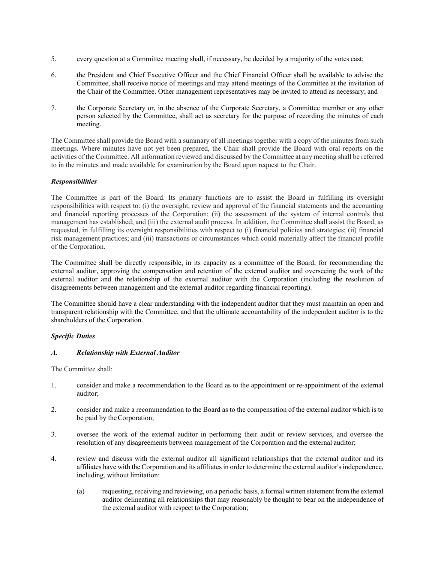- 5. every question at a Committee meeting shall, if necessary, be decided by a majority of the votes cast;
- 6. the President and Chief Executive Officer and the Chief Financial Officer shall be available to advise the Committee, shall receive notice of meetings and may attend meetings of the Committee at the invitation of the Chair of the Committee. Other management representatives may be invited to attend as necessary; and
- 7. the Corporate Secretary or, in the absence of the Corporate Secretary, a Committee member or any other person selected by the Committee, shall act as secretary for the purpose of recording the minutes of each meeting.

The Committee shall provide the Board with a summary of all meetings together with a copy of the minutes from such meetings. Where minutes have not yet been prepared, the Chair shall provide the Board with oral reports on the activities of the Committee. All information reviewed and discussed by the Committee at any meeting shall be referred to in the minutes and made available for examination by the Board upon request to the Chair.

#### *Responsibilities*

The Committee is part of the Board. Its primary functions are to assist the Board in fulfilling its oversight responsibilities with respect to: (i) the oversight, review and approval of the financial statements and the accounting and financial reporting processes of the Corporation; (ii) the assessment of the system of internal controls that management has established; and (iii) the external audit process. In addition, the Committee shall assist the Board, as requested, in fulfilling its oversight responsibilities with respect to (i) financial policies and strategies; (ii) financial risk management practices; and (iii) transactions or circumstances which could materially affect the financial profile of the Corporation.

The Committee shall be directly responsible, in its capacity as a committee of the Board, for recommending the external auditor, approving the compensation and retention of the external auditor and overseeing the work of the external auditor and the relationship of the external auditor with the Corporation (including the resolution of disagreements between management and the external auditor regarding financial reporting).

The Committee should have a clear understanding with the independent auditor that they must maintain an open and transparent relationship with the Committee, and that the ultimate accountability of the independent auditor is to the shareholders of the Corporation.

#### *Specific Duties*

#### *A. Relationship with External Auditor*

The Committee shall:

- 1. consider and make a recommendation to the Board as to the appointment or re-appointment of the external auditor;
- 2. consider and make a recommendation to the Board as to the compensation of the external auditor which is to be paid by the Corporation;
- 3. oversee the work of the external auditor in performing their audit or review services, and oversee the resolution of any disagreements between management of the Corporation and the external auditor;
- 4. review and discuss with the external auditor all significant relationships that the external auditor and its affiliates have with the Corporation and its affiliates in order to determine the external auditor's independence, including, without limitation:
	- (a) requesting, receiving and reviewing, on a periodic basis, a formal written statement from the external auditor delineating all relationships that may reasonably be thought to bear on the independence of the external auditor with respect to the Corporation;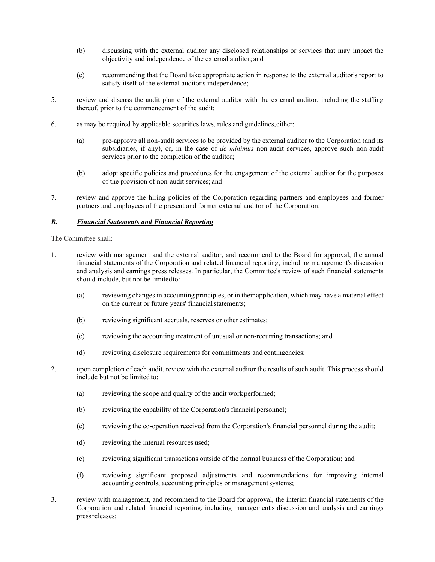- (b) discussing with the external auditor any disclosed relationships or services that may impact the objectivity and independence of the external auditor; and
- (c) recommending that the Board take appropriate action in response to the external auditor's report to satisfy itself of the external auditor's independence;
- 5. review and discuss the audit plan of the external auditor with the external auditor, including the staffing thereof, prior to the commencement of the audit;
- 6. as may be required by applicable securities laws, rules and guidelines, either:
	- (a) pre-approve all non-audit services to be provided by the external auditor to the Corporation (and its subsidiaries, if any), or, in the case of *de minimus* non-audit services, approve such non-audit services prior to the completion of the auditor;
	- (b) adopt specific policies and procedures for the engagement of the external auditor for the purposes of the provision of non-audit services; and
- 7. review and approve the hiring policies of the Corporation regarding partners and employees and former partners and employees of the present and former external auditor of the Corporation.

#### *B. Financial Statements and Financial Reporting*

The Committee shall:

- 1. review with management and the external auditor, and recommend to the Board for approval, the annual financial statements of the Corporation and related financial reporting, including management's discussion and analysis and earnings press releases. In particular, the Committee's review of such financial statements should include, but not be limited to:
	- (a) reviewing changes in accounting principles, or in their application, which may have a material effect on the current or future years' financial statements;
	- (b) reviewing significant accruals, reserves or other estimates;
	- (c) reviewing the accounting treatment of unusual or non-recurring transactions; and
	- (d) reviewing disclosure requirements for commitments and contingencies;
- 2. upon completion of each audit, review with the external auditor the results of such audit. This process should include but not be limited to:
	- (a) reviewing the scope and quality of the audit work performed;
	- (b) reviewing the capability of the Corporation's financial personnel;
	- (c) reviewing the co-operation received from the Corporation's financial personnel during the audit;
	- (d) reviewing the internal resources used;
	- (e) reviewing significant transactions outside of the normal business of the Corporation; and
	- (f) reviewing significant proposed adjustments and recommendations for improving internal accounting controls, accounting principles or management systems;
- 3. review with management, and recommend to the Board for approval, the interim financial statements of the Corporation and related financial reporting, including management's discussion and analysis and earnings press releases;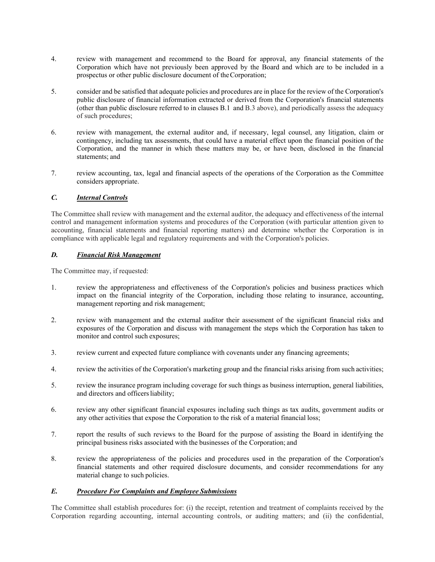- 4. review with management and recommend to the Board for approval, any financial statements of the Corporation which have not previously been approved by the Board and which are to be included in a prospectus or other public disclosure document of the Corporation;
- 5. consider and be satisfied that adequate policies and procedures are in place for the review of the Corporation's public disclosure of financial information extracted or derived from the Corporation's financial statements (other than public disclosure referred to in clauses B.1 and B.3 above), and periodically assess the adequacy of such procedures;
- 6. review with management, the external auditor and, if necessary, legal counsel, any litigation, claim or contingency, including tax assessments, that could have a material effect upon the financial position of the Corporation, and the manner in which these matters may be, or have been, disclosed in the financial statements; and
- 7. review accounting, tax, legal and financial aspects of the operations of the Corporation as the Committee considers appropriate.

#### *C. Internal Controls*

The Committee shall review with management and the external auditor, the adequacy and effectiveness of the internal control and management information systems and procedures of the Corporation (with particular attention given to accounting, financial statements and financial reporting matters) and determine whether the Corporation is in compliance with applicable legal and regulatory requirements and with the Corporation's policies.

#### *D. Financial Risk Management*

The Committee may, if requested:

- 1. review the appropriateness and effectiveness of the Corporation's policies and business practices which impact on the financial integrity of the Corporation, including those relating to insurance, accounting, management reporting and risk management;
- 2. review with management and the external auditor their assessment of the significant financial risks and exposures of the Corporation and discuss with management the steps which the Corporation has taken to monitor and control such exposures;
- 3. review current and expected future compliance with covenants under any financing agreements;
- 4. review the activities of the Corporation's marketing group and the financial risks arising from such activities;
- 5. review the insurance program including coverage for such things as business interruption, general liabilities, and directors and officers liability;
- 6. review any other significant financial exposures including such things as tax audits, government audits or any other activities that expose the Corporation to the risk of a material financial loss;
- 7. report the results of such reviews to the Board for the purpose of assisting the Board in identifying the principal business risks associated with the businesses of the Corporation; and
- 8. review the appropriateness of the policies and procedures used in the preparation of the Corporation's financial statements and other required disclosure documents, and consider recommendations for any material change to such policies.

#### *E. Procedure For Complaints and Employee Submissions*

The Committee shall establish procedures for: (i) the receipt, retention and treatment of complaints received by the Corporation regarding accounting, internal accounting controls, or auditing matters; and (ii) the confidential,